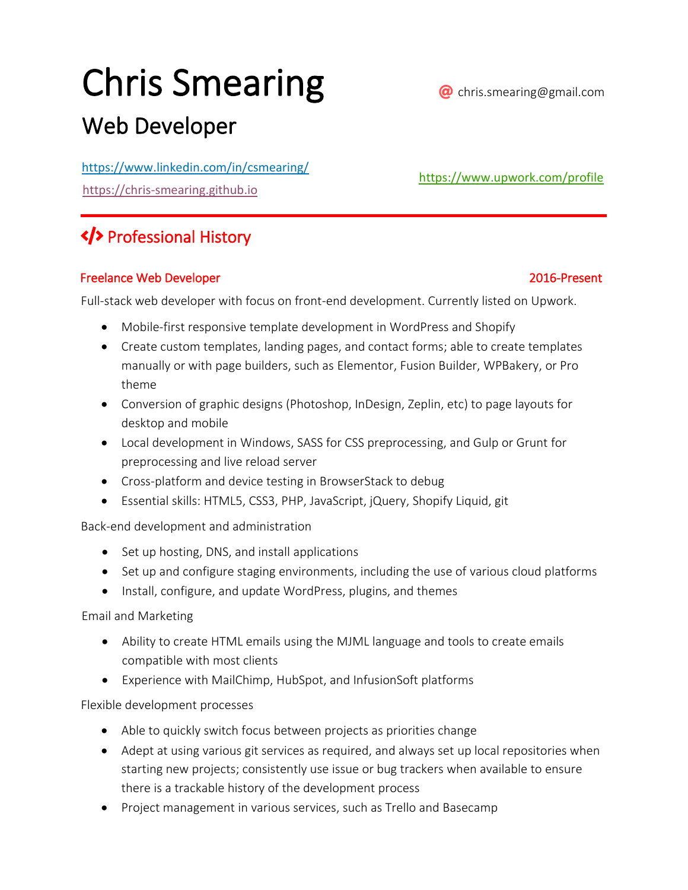# Chris Smearing



[https://www.upwork.com/profile](https://www.upwork.com/o/profiles/users/_~01c5c99f7913666e34/)

# Web Developer

<https://www.linkedin.com/in/csmearing/>

[https://chris-smearing.github.io](https://chris-smearing.github.io/)

# Professional History

## Freelance Web Developer 2016-Present

Full-stack web developer with focus on front-end development. Currently listed on Upwork.

- Mobile-first responsive template development in WordPress and Shopify
- Create custom templates, landing pages, and contact forms; able to create templates manually or with page builders, such as Elementor, Fusion Builder, WPBakery, or Pro theme
- Conversion of graphic designs (Photoshop, InDesign, Zeplin, etc) to page layouts for desktop and mobile
- Local development in Windows, SASS for CSS preprocessing, and Gulp or Grunt for preprocessing and live reload server
- Cross-platform and device testing in BrowserStack to debug
- Essential skills: HTML5, CSS3, PHP, JavaScript, jQuery, Shopify Liquid, git

Back-end development and administration

- Set up hosting, DNS, and install applications
- Set up and configure staging environments, including the use of various cloud platforms
- Install, configure, and update WordPress, plugins, and themes

Email and Marketing

- Ability to create HTML emails using the MJML language and tools to create emails compatible with most clients
- Experience with MailChimp, HubSpot, and InfusionSoft platforms

Flexible development processes

- Able to quickly switch focus between projects as priorities change
- Adept at using various git services as required, and always set up local repositories when starting new projects; consistently use issue or bug trackers when available to ensure there is a trackable history of the development process
- Project management in various services, such as Trello and Basecamp